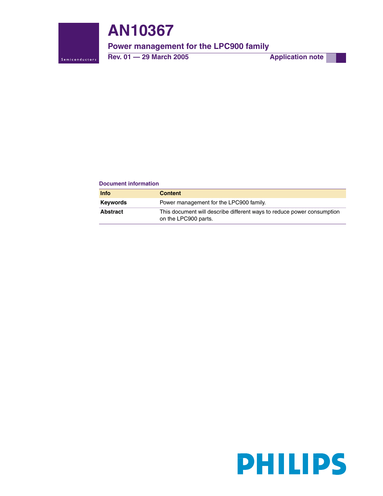

# **AN10367**

# **Power management for the LPC900 family**

**Rev. 01 — 29 March 2005 Application note** 

#### **Document information**

| <b>Info</b>     | <b>Content</b>                                                                                 |
|-----------------|------------------------------------------------------------------------------------------------|
| <b>Keywords</b> | Power management for the LPC900 family.                                                        |
| <b>Abstract</b> | This document will describe different ways to reduce power consumption<br>on the LPC900 parts. |

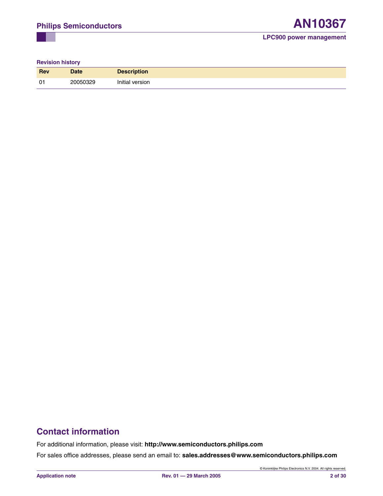#### **Revision history**

| <b>Rev</b>     | <b>Date</b> | <b>Description</b> |
|----------------|-------------|--------------------|
| 0 <sup>1</sup> | 20050329    | Initial version    |

# **Contact information**

For additional information, please visit: **http://www.semiconductors.philips.com**

For sales office addresses, please send an email to: **sales.addresses@www.semiconductors.philips.com**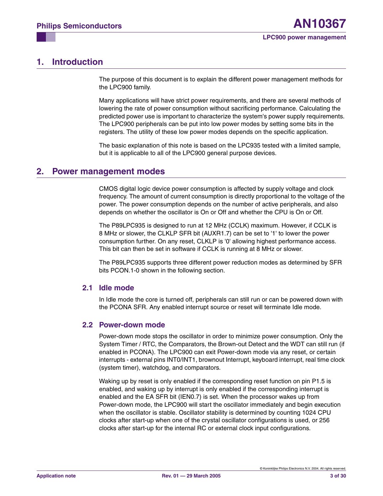# <span id="page-2-0"></span>**1. Introduction**

The purpose of this document is to explain the different power management methods for the LPC900 family.

Many applications will have strict power requirements, and there are several methods of lowering the rate of power consumption without sacrificing performance. Calculating the predicted power use is important to characterize the system's power supply requirements. The LPC900 peripherals can be put into low power modes by setting some bits in the registers. The utility of these low power modes depends on the specific application.

The basic explanation of this note is based on the LPC935 tested with a limited sample, but it is applicable to all of the LPC900 general purpose devices.

## <span id="page-2-1"></span>**2. Power management modes**

CMOS digital logic device power consumption is affected by supply voltage and clock frequency. The amount of current consumption is directly proportional to the voltage of the power. The power consumption depends on the number of active peripherals, and also depends on whether the oscillator is On or Off and whether the CPU is On or Off.

The P89LPC935 is designed to run at 12 MHz (CCLK) maximum. However, if CCLK is 8 MHz or slower, the CLKLP SFR bit (AUXR1.7) can be set to '1' to lower the power consumption further. On any reset, CLKLP is '0' allowing highest performance access. This bit can then be set in software if CCLK is running at 8 MHz or slower.

The P89LPC935 supports three different power reduction modes as determined by SFR bits PCON.1-0 shown in the following section.

#### <span id="page-2-2"></span>**2.1 Idle mode**

In Idle mode the core is turned off, peripherals can still run or can be powered down with the PCONA SFR. Any enabled interrupt source or reset will terminate Idle mode.

#### <span id="page-2-3"></span>**2.2 Power-down mode**

Power-down mode stops the oscillator in order to minimize power consumption. Only the System Timer / RTC, the Comparators, the Brown-out Detect and the WDT can still run (if enabled in PCONA). The LPC900 can exit Power-down mode via any reset, or certain interrupts - external pins INT0/INT1, brownout Interrupt, keyboard interrupt, real time clock (system timer), watchdog, and comparators.

Waking up by reset is only enabled if the corresponding reset function on pin P1.5 is enabled, and waking up by interrupt is only enabled if the corresponding interrupt is enabled and the EA SFR bit (IEN0.7) is set. When the processor wakes up from Power-down mode, the LPC900 will start the oscillator immediately and begin execution when the oscillator is stable. Oscillator stability is determined by counting 1024 CPU clocks after start-up when one of the crystal oscillator configurations is used, or 256 clocks after start-up for the internal RC or external clock input configurations.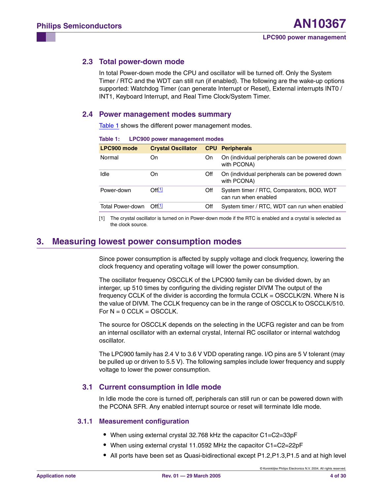### <span id="page-3-2"></span>**2.3 Total power-down mode**

In total Power-down mode the CPU and oscillator will be turned off. Only the System Timer / RTC and the WDT can still run (if enabled). The following are the wake-up options supported: Watchdog Timer (can generate Interrupt or Reset), External interrupts INT0 / INT1, Keyboard Interrupt, and Real Time Clock/System Timer.

#### <span id="page-3-3"></span>**2.4 Power management modes summary**

[Table 1](#page-3-0) shows the different power management modes.

|                                     | Table 1: LPC900 power management modes |     |                                                                   |
|-------------------------------------|----------------------------------------|-----|-------------------------------------------------------------------|
| LPC900 mode                         | <b>Crystal Oscillator</b>              |     | <b>CPU</b> Peripherals                                            |
| Normal                              | On                                     | On. | On (individual peripherals can be powered down<br>with PCONA)     |
| Idle                                | On                                     | Off | On (individual peripherals can be powered down<br>with PCONA)     |
| Power-down                          | $\bigcap_{i=1}^{n}$                    | Off | System timer / RTC, Comparators, BOD, WDT<br>can run when enabled |
| Total Power-down Off <sup>[1]</sup> |                                        | Off | System timer / RTC, WDT can run when enabled                      |

<span id="page-3-0"></span>

| Table 1: |  |  | <b>LPC900 power management modes</b> |  |
|----------|--|--|--------------------------------------|--|
|----------|--|--|--------------------------------------|--|

<span id="page-3-1"></span>[1] The crystal oscillator is turned on in Power-down mode if the RTC is enabled and a crystal is selected as the clock source.

## <span id="page-3-4"></span>**3. Measuring lowest power consumption modes**

Since power consumption is affected by supply voltage and clock frequency, lowering the clock frequency and operating voltage will lower the power consumption.

The oscillator frequency OSCCLK of the LPC900 family can be divided down, by an interger, up 510 times by configuring the dividing register DIVM The output of the frequency CCLK of the divider is according the formula CCLK = OSCCLK/2N. Where N is the value of DIVM. The CCLK frequency can be in the range of OSCCLK to OSCCLK/510. For  $N = 0$  CCLK = OSCCLK.

The source for OSCCLK depends on the selecting in the UCFG register and can be from an internal oscillator with an external crystal, Internal RC oscillator or internal watchdog oscillator.

The LPC900 family has 2.4 V to 3.6 V VDD operating range. I/O pins are 5 V tolerant (may be pulled up or driven to 5.5 V). The following samples include lower frequency and supply voltage to lower the power consumption.

#### <span id="page-3-5"></span>**3.1 Current consumption in Idle mode**

In Idle mode the core is turned off, peripherals can still run or can be powered down with the PCONA SFR. Any enabled interrupt source or reset will terminate Idle mode.

#### <span id="page-3-6"></span>**3.1.1 Measurement configuration**

- **•** When using external crystal 32.768 kHz the capacitor C1=C2=33pF
- **•** When using external crystal 11.0592 MHz the capacitor C1=C2=22pF
- **•** All ports have been set as Quasi-bidirectional except P1.2,P1.3,P1.5 and at high level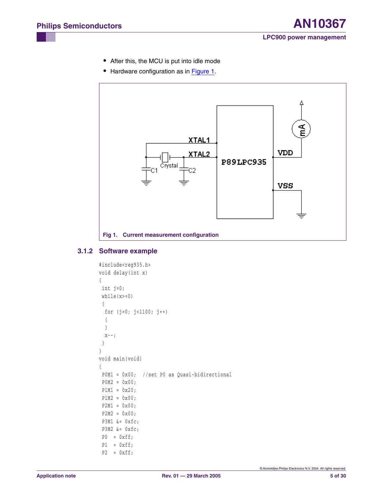- **•** After this, the MCU is put into idle mode
- Hardware configuration as in **Figure 1**.



### <span id="page-4-1"></span><span id="page-4-0"></span>**3.1.2 Software example**

```
#include<reg935.h>
void delay(int x) 
{
 int j=0;
  while(x>=0)
  {
   for (j=0; j<1100; j++)
   {
   }
 X--; }
} 
void main(void)
{
  P0M1 = 0x00; //set P0 as Quasi-bidirectional 
 P0M2 = 0x00;P1M1 = 0x20; P1M2 = 0x00;
  P2M1 = 0x00; 
  P2M2 = 0x00;
  P3M1 &= 0xfc;
  P3M2 &= 0xfc;
 P0 = 0xff;P1 = 0xff;P2 = 0xff;
```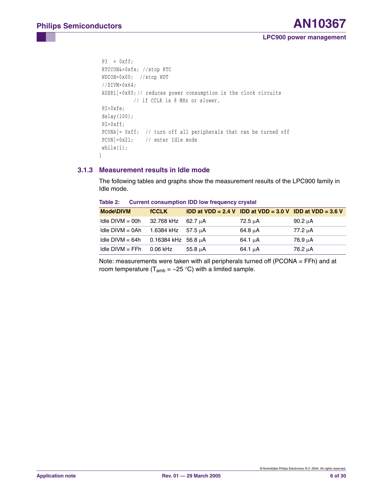```
P3 = 0xff; RTCCON&=0xfe; //stop RTC
 WDCON=0x00; //stop WDT
 //DIVM=0x64;
 AUXR1|=0x80; // reduces power consumption in the clock circuits
            // if CCLK is 8 MHz or slower,
 P2=0xfe;
 delay(100);
P2=0 x f f;
 PCONA|= 0xff; // turn off all peripherals that can be turned off 
 PCON|=0x21; // enter Idle mode
 while(1);
}
```
### <span id="page-5-0"></span>**3.1.3 Measurement results in Idle mode**

The following tables and graphs show the measurement results of the LPC900 family in Idle mode.

| <b>Mode\DIVM</b>  | <b>fCCLK</b>          |              | <b>IDD at VDD = 2.4 V IDD at VDD = 3.0 V IDD at VDD = 3.6 V</b> |         |
|-------------------|-----------------------|--------------|-----------------------------------------------------------------|---------|
| $ldle$ DIVM = 00h | 32.768 kHz            | 62.7 µA      | 72.5 µA                                                         | 90.2 µA |
| Idle $DIVM = OAh$ | 1.6384 kHz            | 57.5 uA      | 64.8 µA                                                         | 77.2 µA |
| Idle $DIVM = 64h$ | $0.16384$ kHz 56.8 µA |              | $64.1 \mu A$                                                    | 76.9 µA |
| $Idie$ DIVM = FFh | 0.06 kHz              | $55.8 \mu A$ | $64.1 \mu A$                                                    | 76.2 µA |
|                   |                       |              |                                                                 |         |

**Table 2: Current consumption IDD low frequency crystal**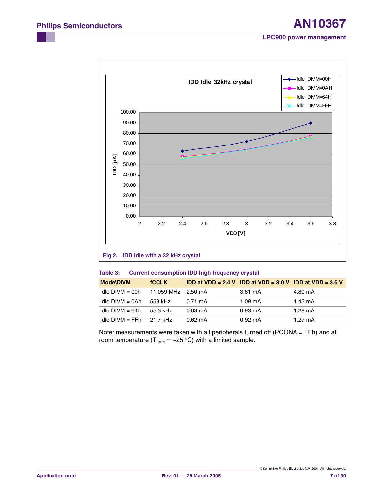

## **Fig 2. IDD Idle with a 32 kHz crystal**

| Table 3: | <b>Current consumption IDD high frequency crystal</b> |  |
|----------|-------------------------------------------------------|--|
|----------|-------------------------------------------------------|--|

| <b>Mode\DIVM</b>           | <b>fCCLK</b>       |                   | <b>IDD at VDD = 2.4 V IDD at VDD = 3.0 V IDD at VDD = 3.6 V</b> |                   |
|----------------------------|--------------------|-------------------|-----------------------------------------------------------------|-------------------|
| Idle $DIVM = 00h$          | 11.059 MHz 2.50 mA |                   | 3.61 mA                                                         | 4.80 mA           |
| $Idie$ DIVM = 0Ah          | 553 kHz            | $0.71 \text{ mA}$ | $1.09 \text{ mA}$                                               | $1.45 \text{ mA}$ |
| Idle $DIVM = 64h$          | 55.3 kHz           | $0.63 \text{ mA}$ | $0.93 \text{ mA}$                                               | $1.28 \text{ mA}$ |
| Idle DIVM = FFh $21.7$ kHz |                    | $0.62 \text{ mA}$ | $0.92 \text{ mA}$                                               | $1.27 \text{ mA}$ |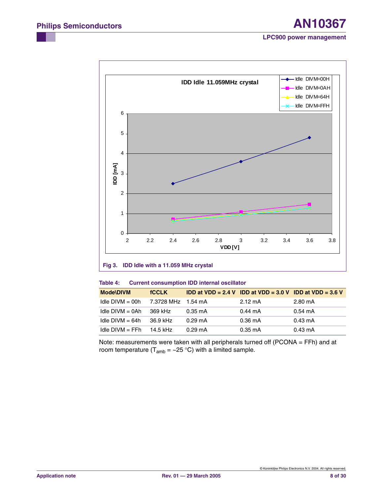

### **Fig 3. IDD Idle with a 11.059 MHz crystal**

#### **Table 4: Current consumption IDD internal oscillator**

| <b>Mode\DIVM</b>  | <b>fCCLK</b>       |                   | <b>IDD at VDD = 2.4 V IDD at VDD = 3.0 V IDD at VDD = 3.6 V</b> |                   |
|-------------------|--------------------|-------------------|-----------------------------------------------------------------|-------------------|
| $Idie$ DIVM = 00h | 7.3728 MHz 1.54 mA |                   | $2.12 \text{ mA}$                                               | 2.80 mA           |
| $Idie$ DIVM = 0Ah | 369 kHz            | $0.35 \text{ mA}$ | $0.44 \text{ mA}$                                               | $0.54 \text{ mA}$ |
| Idle $DIVM = 64h$ | 36.9 kHz           | $0.29 \text{ mA}$ | $0.36 \text{ mA}$                                               | 0.43 mA           |
| $Idie$ DIVM = FFh | 14.5 kHz           | $0.29 \text{ mA}$ | $0.35 \text{ mA}$                                               | $0.43 \text{ mA}$ |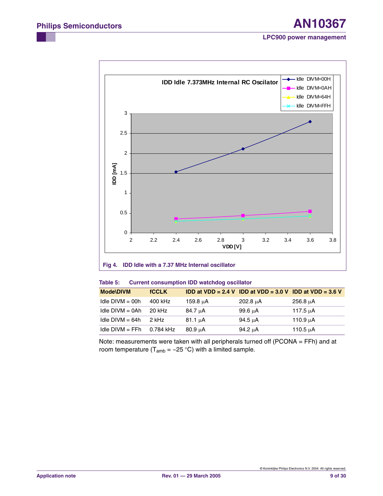

#### **Fig 4. IDD Idle with a 7.37 MHz Internal oscillator**

#### **Table 5: Current consumption IDD watchdog oscillator**

| <b>Mode\DIVM</b>  | <b>fCCLK</b> |              | <b>IDD at VDD = 2.4 V IDD at VDD = 3.0 V IDD at VDD = 3.6 V</b> |               |
|-------------------|--------------|--------------|-----------------------------------------------------------------|---------------|
| Idle $DIVM = 00h$ | 400 kHz      | 159.8 uA     | 202.8 µA                                                        | 256.8 uA      |
| $Idie$ DIVM = 0Ah | 20 kHz       | 84.7 µA      | 99.6 µA                                                         | 117.5 uA      |
| Idle $DIVM = 64h$ | 2 kHz        | $81.1 \mu A$ | 94.5 µA                                                         | 110.9 µA      |
| $Idie$ DIVM = FFh | 0.784 kHz    | $80.9 \mu A$ | 94.2 µA                                                         | 110.5 $\mu$ A |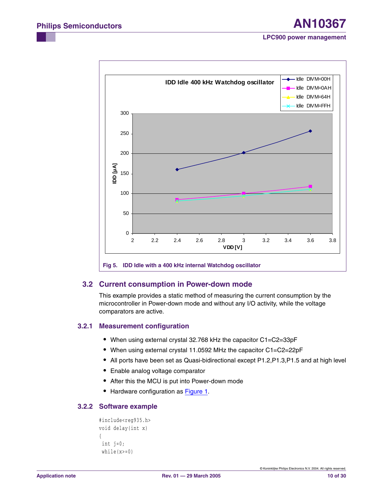

## <span id="page-9-0"></span>**3.2 Current consumption in Power-down mode**

This example provides a static method of measuring the current consumption by the microcontroller in Power-down mode and without any I/O activity, while the voltage comparators are active.

#### <span id="page-9-1"></span>**3.2.1 Measurement configuration**

- **•** When using external crystal 32.768 kHz the capacitor C1=C2=33pF
- **•** When using external crystal 11.0592 MHz the capacitor C1=C2=22pF
- **•** All ports have been set as Quasi-bidirectional except P1.2,P1.3,P1.5 and at high level
- **•** Enable analog voltage comparator
- **•** After this the MCU is put into Power-down mode
- **•** Hardware configuration as [Figure 1](#page-4-0).

#### <span id="page-9-2"></span>**3.2.2 Software example**

```
#include<reg935.h>
void delay(int x) 
{
 int j=0;
  while(x>=0)
```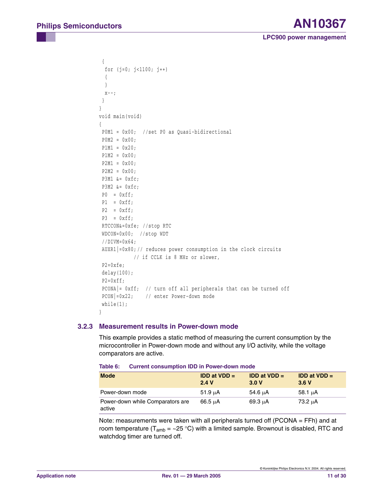```
 {
   for (j=0; j<1100; j++)
   {
   }
  X--; }
} 
void main(void)
{
  P0M1 = 0x00; //set P0 as Quasi-bidirectional 
 P0M2 = 0x00; P1M1 = 0x20;
 P1M2 = 0x00; P2M1 = 0x00; 
 P2M2 = 0x00; P3M1 &= 0xfc;
  P3M2 &= 0xfc;
 P0 = 0xff;P1 = 0xff;P2 = 0xff;P3 = 0xff; RTCCON&=0xfe; //stop RTC
  WDCON=0x00; //stop WDT
  //DIVM=0x64;
  AUXR1|=0x80; // reduces power consumption in the clock circuits
             // if CCLK is 8 MHz or slower,
 P2=0xfe;
  delay(100);
 P2 = 0 \times f f; PCONA|= 0xff; // turn off all peripherals that can be turned off 
  PCON|=0x22; // enter Power-down mode
 while(1);
}
```
#### <span id="page-10-0"></span>**3.2.3 Measurement results in Power-down mode**

This example provides a static method of measuring the current consumption by the microcontroller in Power-down mode and without any I/O activity, while the voltage comparators are active.

| <b>Mode</b>                                | <b>IDD at VDD <math>=</math></b><br>2.4V | <b>IDD at VDD <math>=</math></b><br>3.0V | <b>IDD at VDD <math>=</math></b><br>3.6V |
|--------------------------------------------|------------------------------------------|------------------------------------------|------------------------------------------|
| Power-down mode                            | 51.9 uA                                  | 54.6 uA                                  | $58.1 \mu A$                             |
| Power-down while Comparators are<br>active | 66.5 uA                                  | $69.3 \mu A$                             | 73.2 µA                                  |

**Table 6: Current consumption IDD in Power-down mode**

Note: measurements were taken with all peripherals turned off (PCONA = FFh) and at room temperature ( $T_{amb} = \sim 25 \degree C$ ) with a limited sample. Brownout is disabled, RTC and watchdog timer are turned off.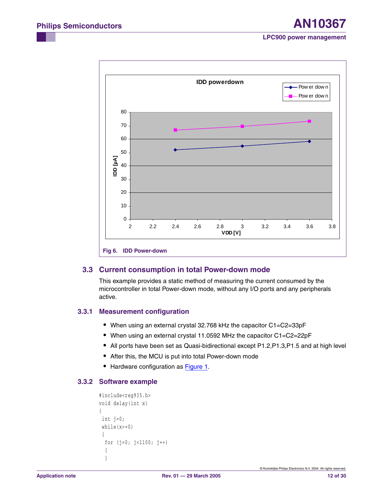

### <span id="page-11-0"></span>**3.3 Current consumption in total Power-down mode**

This example provides a static method of measuring the current consumed by the microcontroller in total Power-down mode, without any I/O ports and any peripherals active.

#### <span id="page-11-1"></span>**3.3.1 Measurement configuration**

- **•** When using an external crystal 32.768 kHz the capacitor C1=C2=33pF
- **•** When using an external crystal 11.0592 MHz the capacitor C1=C2=22pF
- **•** All ports have been set as Quasi-bidirectional except P1.2,P1.3,P1.5 and at high level
- **•** After this, the MCU is put into total Power-down mode
- **•** Hardware configuration as [Figure 1](#page-4-0).

## <span id="page-11-2"></span>**3.3.2 Software example**

```
#include<reg935.h>
void delay(int x) 
{
 int j=0;
  while(x>=0)
  {
   for (j=0; j<1100; j++)
   {
   }
```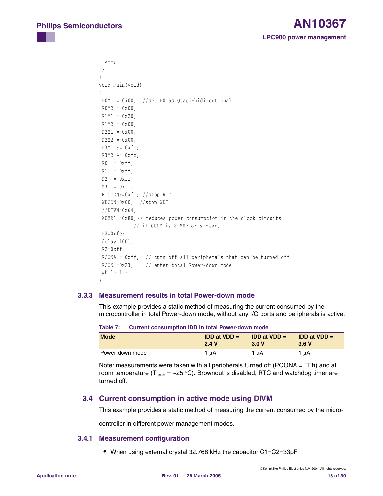```
X--; }
} 
void main(void)
{
  P0M1 = 0x00; //set P0 as Quasi-bidirectional 
 P0M2 = 0x00; P1M1 = 0x20;
 P1M2 = 0x00;P2M1 = 0x00; P2M2 = 0x00;
  P3M1 &= 0xfc;
  P3M2 &= 0xfc;
 P0 = 0xff;P1 = 0xff;P2 = 0xff;
 P3 = 0xff; RTCCON&=0xfe; //stop RTC
  WDCON=0x00; //stop WDT
  //DIVM=0x64;
  AUXR1|=0x80; // reduces power consumption in the clock circuits
             // if CCLK is 8 MHz or slower,
  P2=0xfe;
  delay(100);
 P2 = 0 \times f f;
  PCONA|= 0xff; // turn off all peripherals that can be turned off 
  PCON|=0x23; // enter total Power-down mode
 while(1);
}
```
#### <span id="page-12-0"></span>**3.3.3 Measurement results in total Power-down mode**

This example provides a static method of measuring the current consumed by the microcontroller in total Power-down mode, without any I/O ports and peripherals is active.

|                 | <b>TAMIC T.</b> VALICIA CONSUMPTION TO TH' WALL ON'CL' GOWN MOUS |                                           |                                          |  |  |  |
|-----------------|------------------------------------------------------------------|-------------------------------------------|------------------------------------------|--|--|--|
| <b>Mode</b>     | <b>IDD at VDD <math>=</math></b><br>2.4V                         | <b>IDD at VDD <math>=</math></b><br>3.0 V | <b>IDD at VDD <math>=</math></b><br>3.6V |  |  |  |
| Power-down mode | 1 μΑ                                                             | 1 μΑ                                      | 1 μΑ                                     |  |  |  |

**Table 7: Current consumption IDD in total Power-down mode**

Note: measurements were taken with all peripherals turned off (PCONA = FFh) and at room temperature ( $T_{amb} = \sim 25 \degree C$ ). Brownout is disabled, RTC and watchdog timer are turned off.

### <span id="page-12-1"></span>**3.4 Current consumption in active mode using DIVM**

This example provides a static method of measuring the current consumed by the micro-

controller in different power management modes.

#### <span id="page-12-2"></span>**3.4.1 Measurement configuration**

**•** When using external crystal 32.768 kHz the capacitor C1=C2=33pF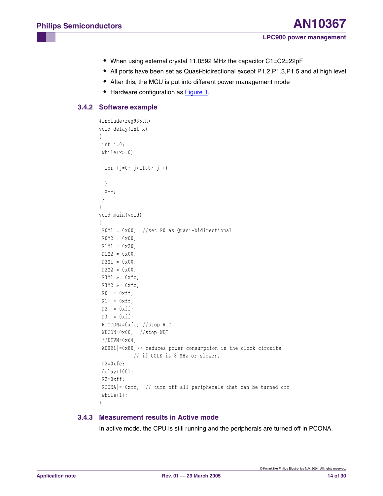- **•** When using external crystal 11.0592 MHz the capacitor C1=C2=22pF
- **•** All ports have been set as Quasi-bidirectional except P1.2,P1.3,P1.5 and at high level
- **•** After this, the MCU is put into different power management mode
- **•** Hardware configuration as [Figure 1](#page-4-0).

### <span id="page-13-0"></span>**3.4.2 Software example**

```
#include<reg935.h>
void delay(int x) 
{
  int j=0;
 while(x>=0) {
   for (j=0; j<1100; j++)
   {
   }
 X--; }
} 
void main(void)
{
  P0M1 = 0x00; //set P0 as Quasi-bidirectional 
 P0M2 = 0x00;P1M1 = 0x20;P1M2 = 0x00; P2M1 = 0x00; 
 P2M2 = 0x00; P3M1 &= 0xfc;
  P3M2 &= 0xfc;
 P0 = 0xff;P1 = 0xff;P2 = 0xff;P3 = 0xff; RTCCON&=0xfe; //stop RTC
  WDCON=0x00; //stop WDT
  //DIVM=0x64;
  AUXR1|=0x80; // reduces power consumption in the clock circuits
             // if CCLK is 8 MHz or slower,
  P2=0xfe;
  delay(100);
 P2 = 0 \times f f; PCONA|= 0xff; // turn off all peripherals that can be turned off 
 while(1);
}
```
### <span id="page-13-1"></span>**3.4.3 Measurement results in Active mode**

In active mode, the CPU is still running and the peripherals are turned off in PCONA.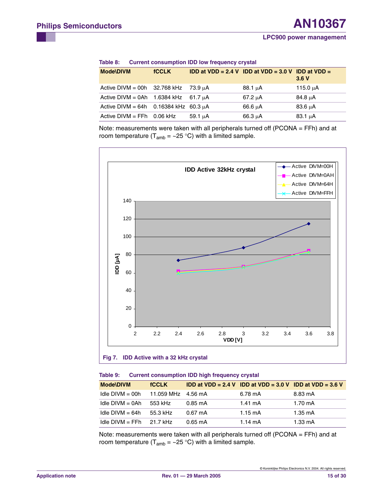| Table 8: | <b>Current consumption IDD low frequency crystal</b> |  |  |  |
|----------|------------------------------------------------------|--|--|--|
|----------|------------------------------------------------------|--|--|--|

| <b>Mode\DIVM</b>                             | <b>fCCLK</b> |              | <b>IDD at VDD = 2.4 V IDD at VDD = 3.0 V IDD at VDD =</b> | 3.6V          |
|----------------------------------------------|--------------|--------------|-----------------------------------------------------------|---------------|
| Active DIVM = 00h 32.768 kHz 73.9 $\mu$ A    |              |              | $88.1 \mu A$                                              | 115.0 $\mu$ A |
| Active DIVM = 0Ah 1.6384 kHz 61.7 $\mu$ A    |              |              | 67.2 uA                                                   | 84.8 µA       |
| Active DIVM = $64h$ 0.16384 kHz 60.3 $\mu$ A |              |              | 66.6 µA                                                   | 83.6 uA       |
| Active DIVM = $FFh$ 0.06 kHz                 |              | $59.1 \mu A$ | $66.3 \mu A$                                              | $83.1 \mu A$  |

Note: measurements were taken with all peripherals turned off (PCONA = FFh) and at room temperature ( $T_{amb} = -25$  °C) with a limited sample.



| Table 9: | <b>Current consumption IDD high frequency crystal</b> |  |  |  |
|----------|-------------------------------------------------------|--|--|--|
|          |                                                       |  |  |  |

| <b>Mode\DIVM</b>  | <b>fCCLK</b> |                   | <b>IDD at VDD = 2.4 V IDD at VDD = 3.0 V IDD at VDD = 3.6 V</b> |                   |
|-------------------|--------------|-------------------|-----------------------------------------------------------------|-------------------|
| Idle $DIVM = 00h$ | 11.059 MHz   | 4.56 mA           | 6.78 mA                                                         | 8.83 mA           |
| $ldle$ DIVM = 0Ah | 553 kHz      | $0.85 \text{ mA}$ | $1.41 \text{ mA}$                                               | $1.70 \text{ mA}$ |
| Idle $DIVM = 64h$ | 55.3 kHz     | $0.67 \text{ mA}$ | $1.15 \text{ mA}$                                               | 1.35 mA           |
| $Idie$ DIVM = FFh | 21.7 kHz     | $0.65 \text{ mA}$ | $1.14 \text{ mA}$                                               | $1.33 \text{ mA}$ |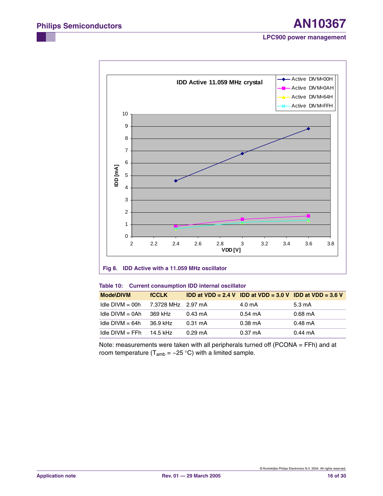

#### **Fig 8. IDD Active with a 11.059 MHz oscillator**

#### **Table 10: Current consumption IDD internal oscillator**

| <b>Mode\DIVM</b>  | <b>fCCLK</b>       |                   | <b>IDD at VDD = 2.4 V IDD at VDD = 3.0 V IDD at VDD = 3.6 V</b> |                   |
|-------------------|--------------------|-------------------|-----------------------------------------------------------------|-------------------|
| $Idie$ DIVM = 00h | 7.3728 MHz 2.97 mA |                   | $4.0 \text{ mA}$                                                | $5.3 \text{ mA}$  |
| $Idie$ DIVM = 0Ah | 369 kHz            | $0.43 \text{ mA}$ | $0.54 \text{ mA}$                                               | $0.68 \text{ mA}$ |
| Idle $DIVM = 64h$ | 36.9 kHz           | $0.31 \text{ mA}$ | $0.38 \text{ mA}$                                               | $0.48 \text{ mA}$ |
| $Idie$ DIVM = FFh | 14.5 kHz           | $0.29 \text{ mA}$ | $0.37 \text{ mA}$                                               | $0.44 \text{ mA}$ |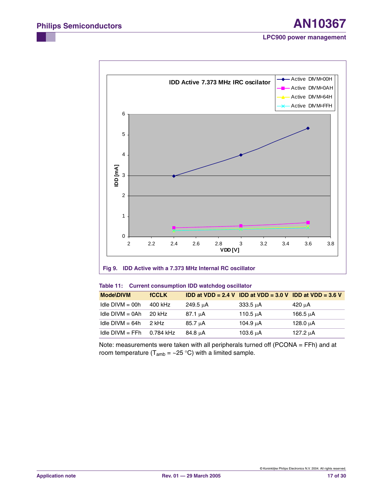

#### **Fig 9. IDD Active with a 7.373 MHz Internal RC oscillator**

#### **Table 11: Current consumption IDD watchdog oscillator**

| <b>Mode\DIVM</b>  | <b>fCCLK</b> |              | <b>IDD at VDD = 2.4 V IDD at VDD = 3.0 V IDD at VDD = 3.6 V</b> |          |
|-------------------|--------------|--------------|-----------------------------------------------------------------|----------|
| Idle $DIVM = 00h$ | 400 kHz      | 249.5 µA     | 333.5 uA                                                        | 420 μA   |
| $Idie$ DIVM = 0Ah | 20 kHz       | $87.1 \mu A$ | 110.5 $\mu$ A                                                   | 166.5 uA |
| Idle $DIVM = 64h$ | 2 kHz        | $85.7 \mu A$ | 104.9 µA                                                        | 128.0 uA |
| $Idie$ DIVM = FFh | 0.784 kHz    | 84.8 µA      | 103.6 uA                                                        | 127.2 µA |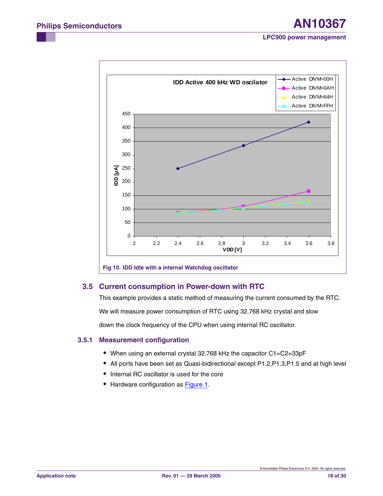

### <span id="page-17-0"></span>**3.5 Current consumption in Power-down with RTC**

This example provides a static method of measuring the current consumed by the RTC.

We will measure power consumption of RTC using 32.768 kHz crystal and slow

down the clock frequency of the CPU when using internal RC oscillator.

#### <span id="page-17-1"></span>**3.5.1 Measurement configuration**

- **•** When using an external crystal 32.768 kHz the capacitor C1=C2=33pF
- **•** All ports have been set as Quasi-bidirectional except P1.2,P1.3,P1.5 and at high level
- **•** Internal RC oscillator is used for the core
- **•** Hardware configuration as [Figure 1](#page-4-0).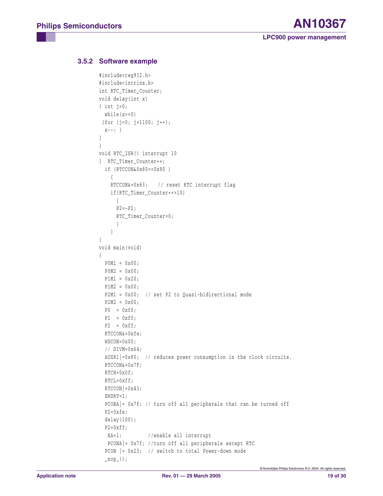### <span id="page-18-0"></span>**3.5.2 Software example**

```
#include<reg932.h>
#include<intrins.h>
int RTC_Timer_Counter;
void delay(int x) 
{ int j=0;
 while(x)=0)
{for (j=0; j<1100; j++);
 X = - ; \}} 
}
void RTC_ISR() interrupt 10
{ RTC_Timer_Counter++;
   if (RTCCON&0x80==0x80 ) 
     {
     RTCCON&=0x63; // reset RTC interrupt flag
     if(RTC_Timer_Counter++>10)
      {
     P2 = -P2;
      RTC_Timer_Counter=0;
       }
     }
}
void main(void)
{
 P0M1 = 0x00;
 P0M2 = 0x00;P1M1 = 0x20;P1M2 = 0x00; P2M1 = 0x00; // set P2 to Quasi-bidirectional mode
   P2M2 = 0x00;
  P0 = 0xff;P1 = 0xff;P2 = 0xff; RTCCON&=0xfe;
   WDCON=0x00;
   // DIVM=0x64;
   AUXR1|=0x80; // reduces power consumption in the clock circuits.
   RTCCON&=0x7F; 
   RTCH=0x0f;
   RTCL=0xff;
  RTCCON|=0x43;EWDRT=1; PCONA|= 0x7f; // turn off all peripherals that can be turned off 
   P2=0xfe;
   delay(100);
  P2 = 0 \times f f;EA=1; //enable all interrupt
    PCONA|= 0x7f; //turn off all peripherals except RTC
   PCON |= 0x23; // switch to total Power-down mode
  \texttt{loop}( );
```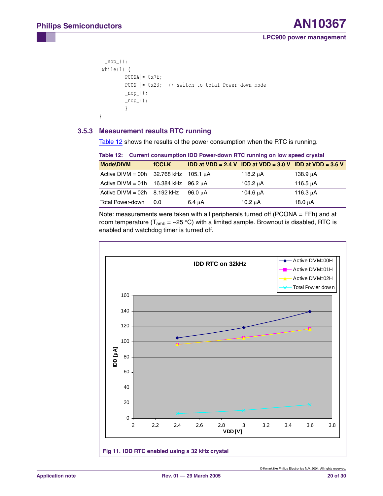```
\texttt{loop}();while(1) {
           PCONA = 0x7f;
           PCON | = 0x23; // switch to total Power-down mode
           \texttt{loop}( );
           \texttt{loop}( ;
            }
}
```
### <span id="page-19-1"></span>**3.5.3 Measurement results RTC running**

[Table 12](#page-19-0) shows the results of the power consumption when the RTC is running.

<span id="page-19-0"></span>

| Table 12: Current consumption IDD Power-down RTC running on low speed crystal |              |             |                                                          |               |  |
|-------------------------------------------------------------------------------|--------------|-------------|----------------------------------------------------------|---------------|--|
| <b>Mode\DIVM</b>                                                              | <b>fCCLK</b> |             | IDD at VDD = 2.4 V IDD at VDD = 3.0 V IDD at VDD = 3.6 V |               |  |
| Active DIVM = 00h 32.768 kHz 105.1 $\mu$ A                                    |              |             | 118.2 $\mu$ A                                            | 138.9 $\mu$ A |  |
| Active DIVM = $01h$ 16.384 kHz                                                |              | ี 96.2 นA   | 105.2 $\mu$ A                                            | 116.5 $\mu$ A |  |
| Active $DIVM = 02h$                                                           | 8.192 kHz    | 96.0 µA     | 104.6 $\mu$ A                                            | 116.3 $\mu$ A |  |
| Total Power-down                                                              | 0.0          | $6.4 \mu A$ | 10.2 $\mu$ A                                             | 18.0 $\mu$ A  |  |

Note: measurements were taken with all peripherals turned off (PCONA = FFh) and at room temperature ( $T_{amb} = \sim 25 \degree C$ ) with a limited sample. Brownout is disabled, RTC is enabled and watchdog timer is turned off.

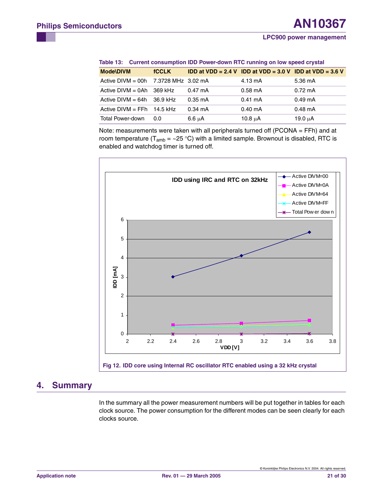| <b>Mode\DIVM</b>                           | <b>fCCLK</b> |                   | <b>IDD at VDD = 2.4 V IDD at VDD = 3.0 V IDD at VDD = 3.6 V</b> |                   |  |
|--------------------------------------------|--------------|-------------------|-----------------------------------------------------------------|-------------------|--|
| Active DIVM = 00h $-7.3728$ MHz $-3.02$ mA |              |                   | $4.13 \text{ mA}$                                               | 5.36 mA           |  |
| Active $DIVM = 0Ah$ 369 kHz                |              | $0.47 \text{ mA}$ | $0.58$ mA                                                       | $0.72 \text{ mA}$ |  |
| Active $DIVM = 64h$ 36.9 kHz               |              | $0.35 \text{ mA}$ | $0.41 \text{ mA}$                                               | $0.49 \text{ mA}$ |  |
| Active $DIVM = FFh$ 14.5 kHz               |              | $0.34 \text{ mA}$ | $0.40 \text{ mA}$                                               | $0.48$ mA         |  |
| <b>Total Power-down</b>                    | 0.0          | $6.6 \mu A$       | $10.8 \mu A$                                                    | 19.0 $\mu$ A      |  |

**Table 13: Current consumption IDD Power-down RTC running on low speed crystal**

Note: measurements were taken with all peripherals turned off (PCONA = FFh) and at room temperature ( $T_{amb}$  = ~25 °C) with a limited sample. Brownout is disabled, RTC is enabled and watchdog timer is turned off.



## <span id="page-20-0"></span>**4. Summary**

In the summary all the power measurement numbers will be put together in tables for each clock source. The power consumption for the different modes can be seen clearly for each clocks source.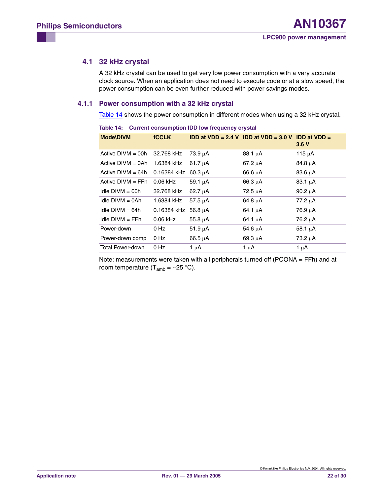### <span id="page-21-1"></span>**4.1 32 kHz crystal**

A 32 kHz crystal can be used to get very low power consumption with a very accurate clock source. When an application does not need to execute code or at a slow speed, the power consumption can be even further reduced with power savings modes.

#### <span id="page-21-2"></span>**4.1.1 Power consumption with a 32 kHz crystal**

[Table 14](#page-21-0) shows the power consumption in different modes when using a 32 kHz crystal.

| $\sim$ . The state of the control of the state $\sim$ . The state of $\sim$ , $\sim$ , $\sim$ |              |              |                                                           |              |  |
|-----------------------------------------------------------------------------------------------|--------------|--------------|-----------------------------------------------------------|--------------|--|
| <b>Mode\DIVM</b>                                                                              | <b>fCCLK</b> |              | <b>IDD at VDD = 2.4 V IDD at VDD = 3.0 V IDD at VDD =</b> | 3.6V         |  |
| Active $DIVM = 00h$                                                                           | 32.768 kHz   | $73.9 \mu A$ | $88.1 \mu A$                                              | 115 $\mu$ A  |  |
| Active $DIVM = 0Ah$                                                                           | 1.6384 kHz   | 61.7 $\mu$ A | $67.2 \mu A$                                              | $84.8 \mu A$ |  |
| Active $DIVM = 64h$                                                                           | 0.16384 kHz  | $60.3 \mu A$ | $66.6 \mu A$                                              | $83.6 \mu A$ |  |
| Active $DIVM = FFh$                                                                           | $0.06$ kHz   | $59.1 \mu A$ | $66.3 \mu A$                                              | $83.1 \mu A$ |  |
| $ldle$ DIVM = 00h                                                                             | 32.768 kHz   | $62.7 \mu A$ | $72.5 \mu A$                                              | 90.2 $\mu$ A |  |
| $ldle$ DIVM = 0Ah                                                                             | 1.6384 kHz   | 57.5 $\mu$ A | $64.8 \mu A$                                              | 77.2 µA      |  |
| $ldle$ DIVM = 64h                                                                             | 0.16384 kHz  | 56.8 $\mu$ A | 64.1 $\mu$ A                                              | 76.9 μA      |  |
| $Idie$ DIVM = FFh                                                                             | $0.06$ kHz   | 55.8 $\mu$ A | 64.1 $\mu$ A                                              | 76.2 μA      |  |
| Power-down                                                                                    | 0 Hz         | 51.9 $\mu$ A | 54.6 $\mu$ A                                              | 58.1 $\mu$ A |  |
| Power-down comp                                                                               | 0 Hz         | 66.5 $\mu$ A | 69.3 $\mu$ A                                              | 73.2 µA      |  |
| Total Power-down                                                                              | 0 Hz         | 1 μΑ         | 1 μΑ                                                      | 1 $\mu$ A    |  |

<span id="page-21-0"></span>**Table 14: Current consumption IDD low frequency crystal**

Note: measurements were taken with all peripherals turned off (PCONA = FFh) and at room temperature ( $T_{amb} = \sim 25 \degree C$ ).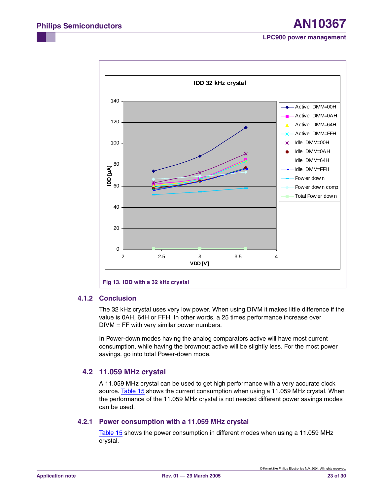

#### <span id="page-22-0"></span>**4.1.2 Conclusion**

The 32 kHz crystal uses very low power. When using DIVM it makes little difference if the value is 0AH, 64H or FFH. In other words, a 25 times performance increase over  $DIVM = FF$  with very similar power numbers.

In Power-down modes having the analog comparators active will have most current consumption, while having the brownout active will be slightly less. For the most power savings, go into total Power-down mode.

## <span id="page-22-1"></span>**4.2 11.059 MHz crystal**

A 11.059 MHz crystal can be used to get high performance with a very accurate clock source. [Table 15](#page-23-0) shows the current consumption when using a 11.059 MHz crystal. When the performance of the 11.059 MHz crystal is not needed different power savings modes can be used.

### <span id="page-22-2"></span>**4.2.1 Power consumption with a 11.059 MHz crystal**

[Table 15](#page-23-0) shows the power consumption in different modes when using a 11.059 MHz crystal.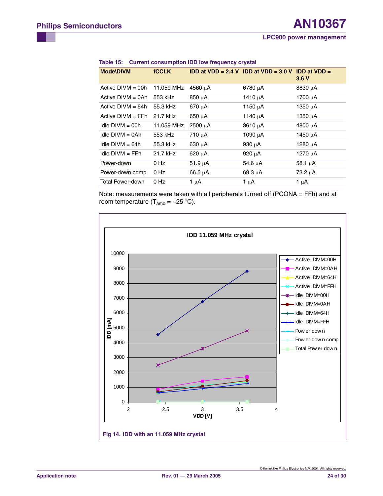| <b>Mode\DIVM</b>    | <b>fCCLK</b> |              | IDD at VDD = 2.4 V IDD at VDD = 3.0 V IDD at VDD = | 3.6V         |
|---------------------|--------------|--------------|----------------------------------------------------|--------------|
| Active $DIVM = 00h$ | 11.059 MHz   | 4560 μA      | $6780 \mu A$                                       | 8830 µA      |
| Active $DIVM = 0Ah$ | 553 kHz      | $850 \mu A$  | 1410 $\mu$ A                                       | 1700 $\mu$ A |
| Active $DIVM = 64h$ | 55.3 kHz     | $670 \mu A$  | 1150 $\mu$ A                                       | $1350 \mu A$ |
| Active $DIVM = FFh$ | 21.7 kHz     | $650 \mu A$  | 1140 $\mu$ A                                       | 1350 $\mu$ A |
| Idle $DIVM = 00h$   | 11.059 MHz   | $2500 \mu A$ | $3610 \mu A$                                       | 4800 µA      |
| Idle $DIVM = OAh$   | 553 kHz      | $710 \mu A$  | 1090 $\mu$ A                                       | 1450 µA      |
| Idle $DIVM = 64h$   | 55.3 kHz     | $630 \mu A$  | 930 $\mu$ A                                        | 1280 $\mu$ A |
| $Idie$ DIVM $=$ FFh | 21.7 kHz     | $620 \mu A$  | 920 $\mu$ A                                        | 1270 $\mu$ A |
| Power-down          | 0 Hz         | $51.9 \mu A$ | 54.6 $\mu$ A                                       | 58.1 $\mu$ A |
| Power-down comp     | 0 Hz         | $66.5 \mu A$ | $69.3 \mu A$                                       | 73.2 µA      |
| Total Power-down    | 0 Hz         | 1 $\mu$ A    | 1 μΑ                                               | 1 $\mu$ A    |

#### <span id="page-23-0"></span>**Table 15: Current consumption IDD low frequency crystal**

Note: measurements were taken with all peripherals turned off (PCONA = FFh) and at room temperature ( $T_{amb} = \sim 25 \degree C$ ).

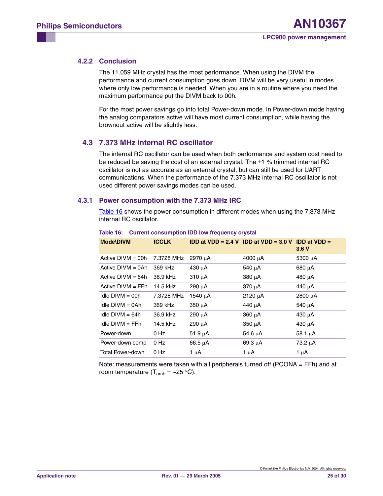### <span id="page-24-1"></span>**4.2.2 Conclusion**

The 11.059 MHz crystal has the most performance. When using the DIVM the performance and current consumption goes down. DIVM will be very useful in modes where only low performance is needed. When you are in a routine where you need the maximum performance put the DIVM back to 00h.

For the most power savings go into total Power-down mode. In Power-down mode having the analog comparators active will have most current consumption, while having the brownout active will be slightly less.

### <span id="page-24-2"></span>**4.3 7.373 MHz internal RC oscillator**

The internal RC oscillator can be used when both performance and system cost need to be reduced be saving the cost of an external crystal. The  $\pm 1$  % trimmed internal RC oscillator is not as accurate as an external crystal, but can still be used for UART communications. When the performance of the 7.373 MHz internal RC oscillator is not used different power savings modes can be used.

#### <span id="page-24-3"></span>**4.3.1 Power consumption with the 7.373 MHz IRC**

[Table 16](#page-24-0) shows the power consumption in different modes when using the 7.373 MHz internal RC oscillator.

| <b>Mode\DIVM</b>    | <b>fCCLK</b> |              | <b>IDD at VDD = 2.4 V IDD at VDD = 3.0 V</b> | <b>IDD at VDD <math>=</math></b><br>3.6V |
|---------------------|--------------|--------------|----------------------------------------------|------------------------------------------|
| Active $DIVM = 00h$ | 7.3728 MHz   | 2970 µA      | 4000 $\mu$ A                                 | 5300 $\mu$ A                             |
| Active $DIVM = 0Ah$ | 369 kHz      | $430 \mu A$  | 540 $\mu$ A                                  | 680 µA                                   |
| Active $DIVM = 64h$ | 36.9 kHz     | $310 \mu A$  | 380 µA                                       | $480 \mu A$                              |
| Active $DIVM = FFh$ | 14.5 kHz     | 290 µA       | $370 \mu A$                                  | 440 µA                                   |
| Idle $DIVM = 00h$   | 7.3728 MHz   | 1540 μΑ      | $2120 \mu A$                                 | $2800 \mu A$                             |
| Idle $DIVM = OAh$   | 369 kHz      | $350 \mu A$  | 440 µA                                       | 540 uA                                   |
| Idle $DIVM = 64h$   | 36.9 kHz     | 290 µA       | $360 \mu A$                                  | 430 µA                                   |
| $Idie$ DIVM $=$ FFh | 14.5 kHz     | $290 \mu A$  | $350 \mu A$                                  | $430 \mu A$                              |
| Power-down          | 0 Hz         | $51.9 \mu A$ | $54.6 \mu A$                                 | $58.1 \mu A$                             |
| Power-down comp     | 0 Hz         | $66.5 \mu A$ | $69.3 \mu A$                                 | 73.2 µA                                  |
| Total Power-down    | 0 Hz         | 1 μΑ         | 1 $\mu$ A                                    | 1 μΑ                                     |

#### <span id="page-24-0"></span>**Table 16: Current consumption IDD low frequency crystal**

Note: measurements were taken with all peripherals turned off (PCONA = FFh) and at room temperature ( $T_{amb} = \sim 25$  °C).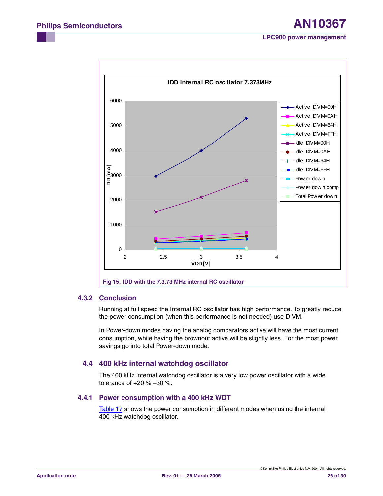

#### <span id="page-25-0"></span>**4.3.2 Conclusion**

Running at full speed the Internal RC oscillator has high performance. To greatly reduce the power consumption (when this performance is not needed) use DIVM.

In Power-down modes having the analog comparators active will have the most current consumption, while having the brownout active will be slightly less. For the most power savings go into total Power-down mode.

### <span id="page-25-1"></span>**4.4 400 kHz internal watchdog oscillator**

The 400 kHz internal watchdog oscillator is a very low power oscillator with a wide tolerance of +20 % −30 %.

#### <span id="page-25-2"></span>**4.4.1 Power consumption with a 400 kHz WDT**

[Table 17](#page-26-0) shows the power consumption in different modes when using the internal 400 kHz watchdog oscillator.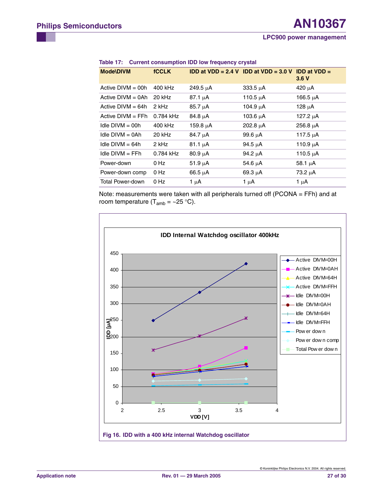| <b>Mode\DIVM</b>    | <b>fCCLK</b> |               | <b>IDD at VDD = 2.4 V IDD at VDD = 3.0 V IDD at VDD =</b> | 3.6V          |
|---------------------|--------------|---------------|-----------------------------------------------------------|---------------|
| Active $DIVM = 00h$ | 400 kHz      | 249.5 $\mu$ A | $333.5 \mu A$                                             | $420 \mu A$   |
| Active $DIVM = OAh$ | 20 kHz       | $87.1 \mu A$  | 110.5 $\mu$ A                                             | 166.5 $\mu$ A |
| Active $DIVM = 64h$ | 2 kHz        | $85.7 \mu A$  | 104.9 μA                                                  | 128 $\mu$ A   |
| Active $DIVM = FFh$ | 0.784 kHz    | $84.8 \mu A$  | 103.6 µA                                                  | 127.2 µA      |
| Idle $DIVM = 00h$   | 400 kHz      | 159.8 $\mu$ A | 202.8 $\mu$ A                                             | $256.8 \mu A$ |
| $Idie$ DIVM = 0Ah   | 20 kHz       | $84.7 \mu A$  | 99.6 $\mu$ A                                              | 117.5 $\mu$ A |
| Idle $DIVM = 64h$   | 2 kHz        | $81.1 \mu A$  | 94.5 $\mu$ A                                              | 110.9 $\mu$ A |
| $Idie$ DIVM = FFh   | 0.784 kHz    | $80.9 \mu A$  | 94.2 $\mu$ A                                              | 110.5 $\mu$ A |
| Power-down          | 0 Hz         | $51.9 \mu A$  | 54.6 µA                                                   | 58.1 $\mu$ A  |
| Power-down comp     | 0 Hz         | $66.5 \mu A$  | $69.3 \mu A$                                              | 73.2 µA       |
| Total Power-down    | 0 Hz         | 1 $\mu$ A     | 1 μΑ                                                      | 1 $\mu$ A     |
|                     |              |               |                                                           |               |

<span id="page-26-0"></span>

|  | Table 17: Current consumption IDD low frequency crystal |  |  |  |
|--|---------------------------------------------------------|--|--|--|
|--|---------------------------------------------------------|--|--|--|

Note: measurements were taken with all peripherals turned off (PCONA = FFh) and at room temperature ( $T_{amb} = \sim 25 \degree C$ ).

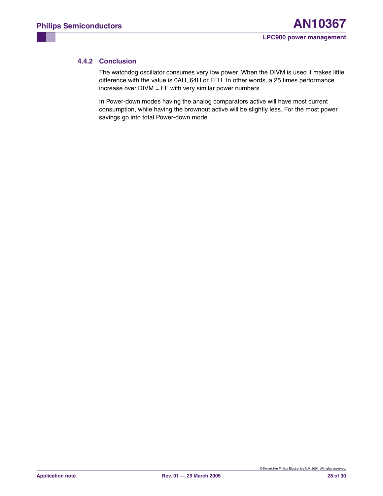### <span id="page-27-0"></span>**4.4.2 Conclusion**

The watchdog oscillator consumes very low power. When the DIVM is used it makes little difference with the value is 0AH, 64H or FFH. In other words, a 25 times performance increase over DIVM = FF with very similar power numbers.

In Power-down modes having the analog comparators active will have most current consumption, while having the brownout active will be slightly less. For the most power savings go into total Power-down mode.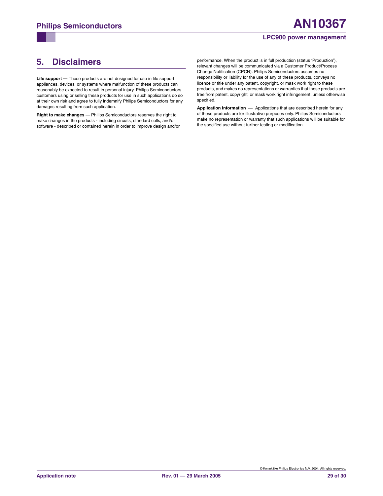# <span id="page-28-0"></span>**5. Disclaimers**

**Life support —** These products are not designed for use in life support appliances, devices, or systems where malfunction of these products can reasonably be expected to result in personal injury. Philips Semiconductors customers using or selling these products for use in such applications do so at their own risk and agree to fully indemnify Philips Semiconductors for any damages resulting from such application.

**Right to make changes —** Philips Semiconductors reserves the right to make changes in the products - including circuits, standard cells, and/or software - described or contained herein in order to improve design and/or performance. When the product is in full production (status 'Production'), relevant changes will be communicated via a Customer Product/Process Change Notification (CPCN). Philips Semiconductors assumes no responsibility or liability for the use of any of these products, conveys no licence or title under any patent, copyright, or mask work right to these products, and makes no representations or warranties that these products are free from patent, copyright, or mask work right infringement, unless otherwise specified.

**Application information —** Applications that are described herein for any of these products are for illustrative purposes only. Philips Semiconductors make no representation or warranty that such applications will be suitable for the specified use without further testing or modification.